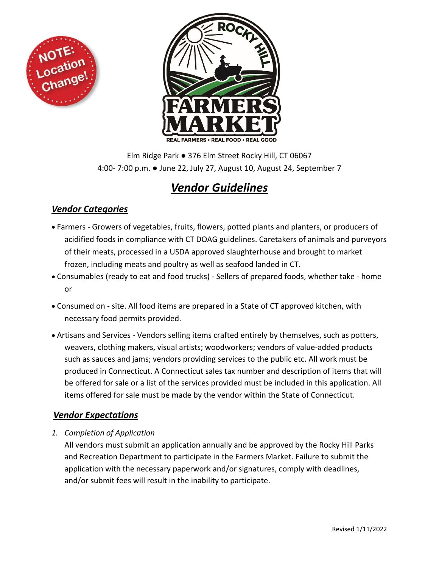



Elm Ridge Park ● 376 Elm Street Rocky Hill, CT 06067 4:00- 7:00 p.m. ● June 22, July 27, August 10, August 24, September 7

# *Vendor Guidelines*

# *Vendor Categories*

- Farmers Growers of vegetables, fruits, flowers, potted plants and planters, or producers of acidified foods in compliance with CT DOAG guidelines. Caretakers of animals and purveyors of their meats, processed in a USDA approved slaughterhouse and brought to market frozen, including meats and poultry as well as seafood landed in CT.
- Consumables (ready to eat and food trucks) Sellers of prepared foods, whether take home or
- Consumed on site. All food items are prepared in a State of CT approved kitchen, with necessary food permits provided.
- Artisans and Services Vendors selling items crafted entirely by themselves, such as potters, weavers, clothing makers, visual artists; woodworkers; vendors of value-added products such as sauces and jams; vendors providing services to the public etc. All work must be produced in Connecticut. A Connecticut sales tax number and description of items that will be offered for sale or a list of the services provided must be included in this application. All items offered for sale must be made by the vendor within the State of Connecticut.

# *Vendor Expectations*

*1. Completion of Application*

All vendors must submit an application annually and be approved by the Rocky Hill Parks and Recreation Department to participate in the Farmers Market. Failure to submit the application with the necessary paperwork and/or signatures, comply with deadlines, and/or submit fees will result in the inability to participate.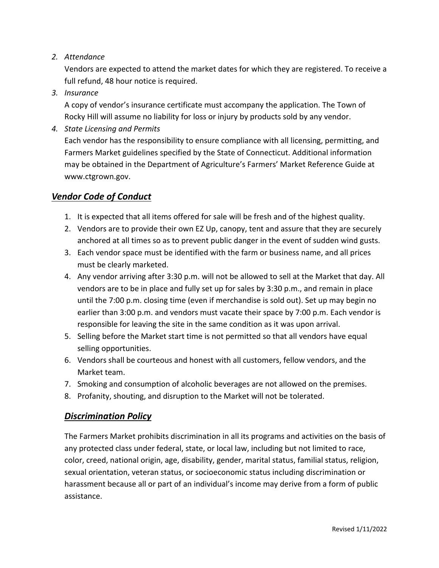#### *2. Attendance*

Vendors are expected to attend the market dates for which they are registered. To receive a full refund, 48 hour notice is required.

*3. Insurance*

A copy of vendor's insurance certificate must accompany the application. The Town of Rocky Hill will assume no liability for loss or injury by products sold by any vendor.

*4. State Licensing and Permits*

Each vendor has the responsibility to ensure compliance with all licensing, permitting, and Farmers Market guidelines specified by the State of Connecticut. Additional information may be obtained in the Department of Agriculture's Farmers' Market Reference Guide at www.ctgrown.gov.

#### *Vendor Code of Conduct*

- 1. It is expected that all items offered for sale will be fresh and of the highest quality.
- 2. Vendors are to provide their own EZ Up, canopy, tent and assure that they are securely anchored at all times so as to prevent public danger in the event of sudden wind gusts.
- 3. Each vendor space must be identified with the farm or business name, and all prices must be clearly marketed.
- 4. Any vendor arriving after 3:30 p.m. will not be allowed to sell at the Market that day. All vendors are to be in place and fully set up for sales by 3:30 p.m., and remain in place until the 7:00 p.m. closing time (even if merchandise is sold out). Set up may begin no earlier than 3:00 p.m. and vendors must vacate their space by 7:00 p.m. Each vendor is responsible for leaving the site in the same condition as it was upon arrival.
- 5. Selling before the Market start time is not permitted so that all vendors have equal selling opportunities.
- 6. Vendors shall be courteous and honest with all customers, fellow vendors, and the Market team.
- 7. Smoking and consumption of alcoholic beverages are not allowed on the premises.
- 8. Profanity, shouting, and disruption to the Market will not be tolerated.

#### *Discrimination Policy*

The Farmers Market prohibits discrimination in all its programs and activities on the basis of any protected class under federal, state, or local law, including but not limited to race, color, creed, national origin, age, disability, gender, marital status, familial status, religion, sexual orientation, veteran status, or socioeconomic status including discrimination or harassment because all or part of an individual's income may derive from a form of public assistance.